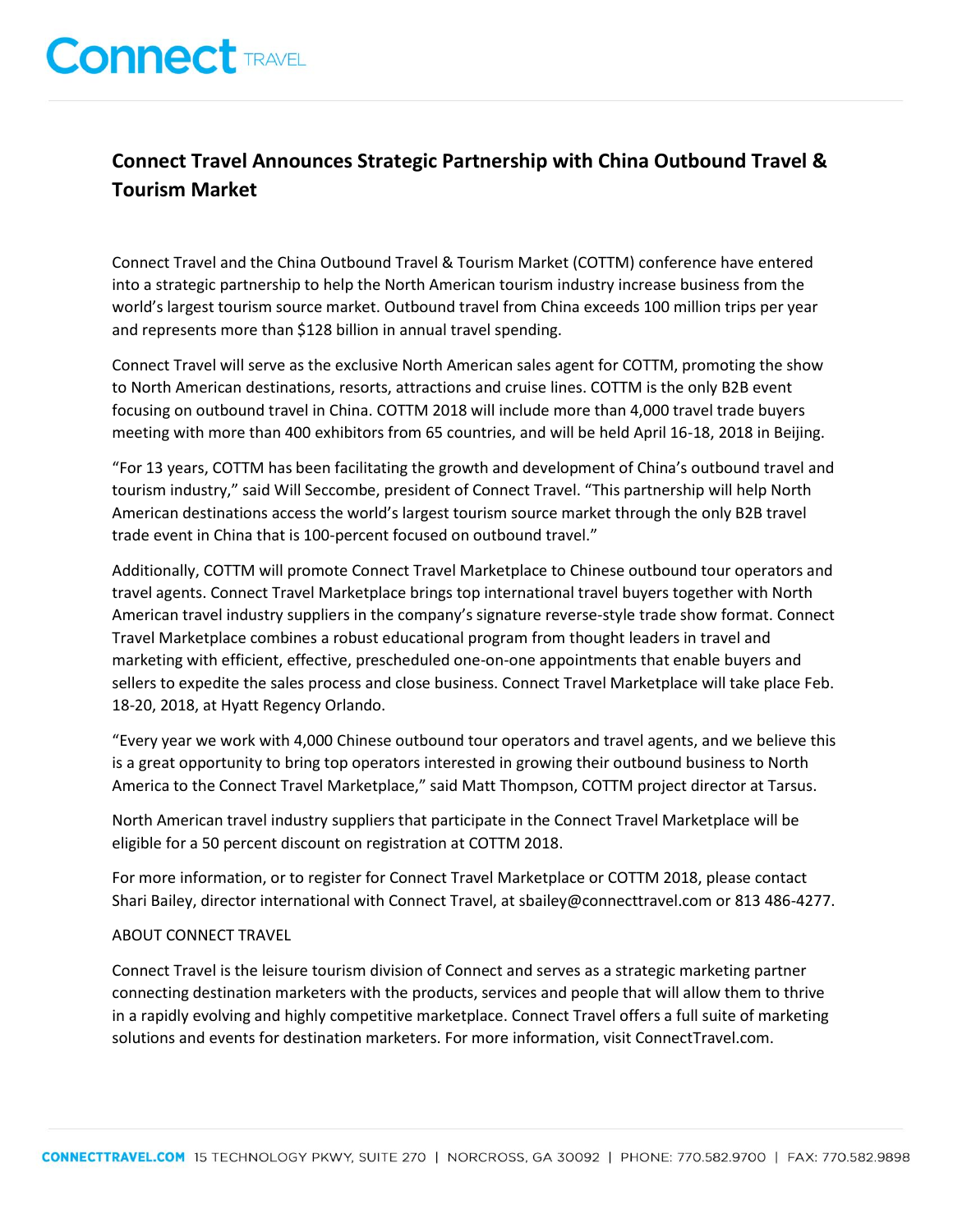# **Connect TRAVEL**

# **Connect Travel Announces Strategic Partnership with China Outbound Travel & Tourism Market**

Connect Travel and the China Outbound Travel & Tourism Market (COTTM) conference have entered into a strategic partnership to help the North American tourism industry increase business from the world's largest tourism source market. Outbound travel from China exceeds 100 million trips per year and represents more than \$128 billion in annual travel spending.

Connect Travel will serve as the exclusive North American sales agent for COTTM, promoting the show to North American destinations, resorts, attractions and cruise lines. COTTM is the only B2B event focusing on outbound travel in China. COTTM 2018 will include more than 4,000 travel trade buyers meeting with more than 400 exhibitors from 65 countries, and will be held April 16-18, 2018 in Beijing.

"For 13 years, COTTM has been facilitating the growth and development of China's outbound travel and tourism industry," said Will Seccombe, president of Connect Travel. "This partnership will help North American destinations access the world's largest tourism source market through the only B2B travel trade event in China that is 100-percent focused on outbound travel."

Additionally, COTTM will promote Connect Travel Marketplace to Chinese outbound tour operators and travel agents. Connect Travel Marketplace brings top international travel buyers together with North American travel industry suppliers in the company's signature reverse-style trade show format. Connect Travel Marketplace combines a robust educational program from thought leaders in travel and marketing with efficient, effective, prescheduled one-on-one appointments that enable buyers and sellers to expedite the sales process and close business. Connect Travel Marketplace will take place Feb. 18-20, 2018, at Hyatt Regency Orlando.

"Every year we work with 4,000 Chinese outbound tour operators and travel agents, and we believe this is a great opportunity to bring top operators interested in growing their outbound business to North America to the Connect Travel Marketplace," said Matt Thompson, COTTM project director at Tarsus.

North American travel industry suppliers that participate in the Connect Travel Marketplace will be eligible for a 50 percent discount on registration at COTTM 2018.

For more information, or to register for Connect Travel Marketplace or COTTM 2018, please contact Shari Bailey, director international with Connect Travel, at sbailey@connecttravel.com or 813 486-4277.

## ABOUT CONNECT TRAVEL

Connect Travel is the leisure tourism division of Connect and serves as a strategic marketing partner connecting destination marketers with the products, services and people that will allow them to thrive in a rapidly evolving and highly competitive marketplace. Connect Travel offers a full suite of marketing solutions and events for destination marketers. For more information, visit ConnectTravel.com.